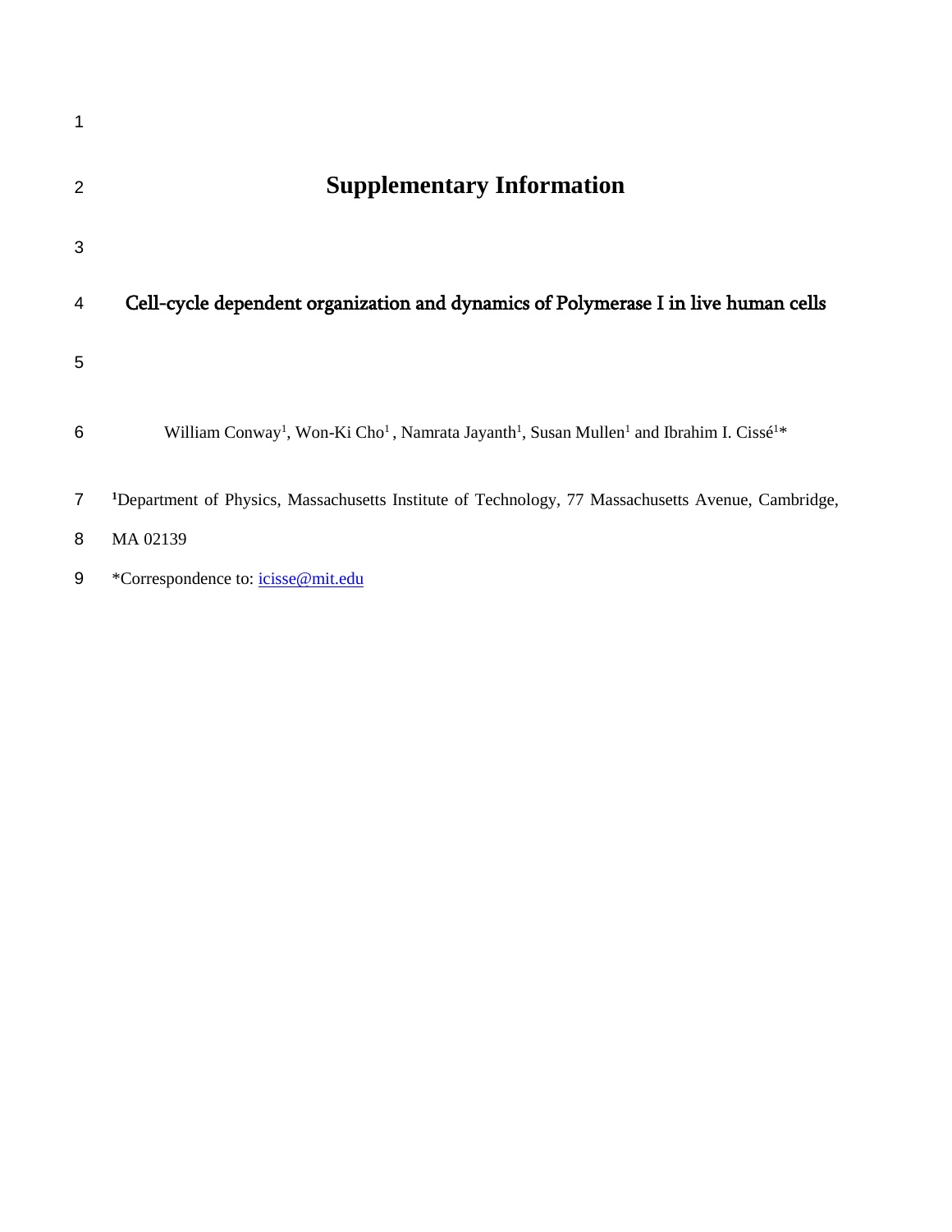| 2 | <b>Supplementary Information</b>                                                                                                                    |
|---|-----------------------------------------------------------------------------------------------------------------------------------------------------|
| 3 |                                                                                                                                                     |
| 4 | Cell-cycle dependent organization and dynamics of Polymerase I in live human cells                                                                  |
| 5 |                                                                                                                                                     |
| 6 | William Conway <sup>1</sup> , Won-Ki Cho <sup>1</sup> , Namrata Jayanth <sup>1</sup> , Susan Mullen <sup>1</sup> and Ibrahim I. Cissé <sup>1*</sup> |
| 7 | <sup>1</sup> Department of Physics, Massachusetts Institute of Technology, 77 Massachusetts Avenue, Cambridge,                                      |
| 8 | MA 02139                                                                                                                                            |
| 9 | *Correspondence to: <i>icisse@mit.edu</i>                                                                                                           |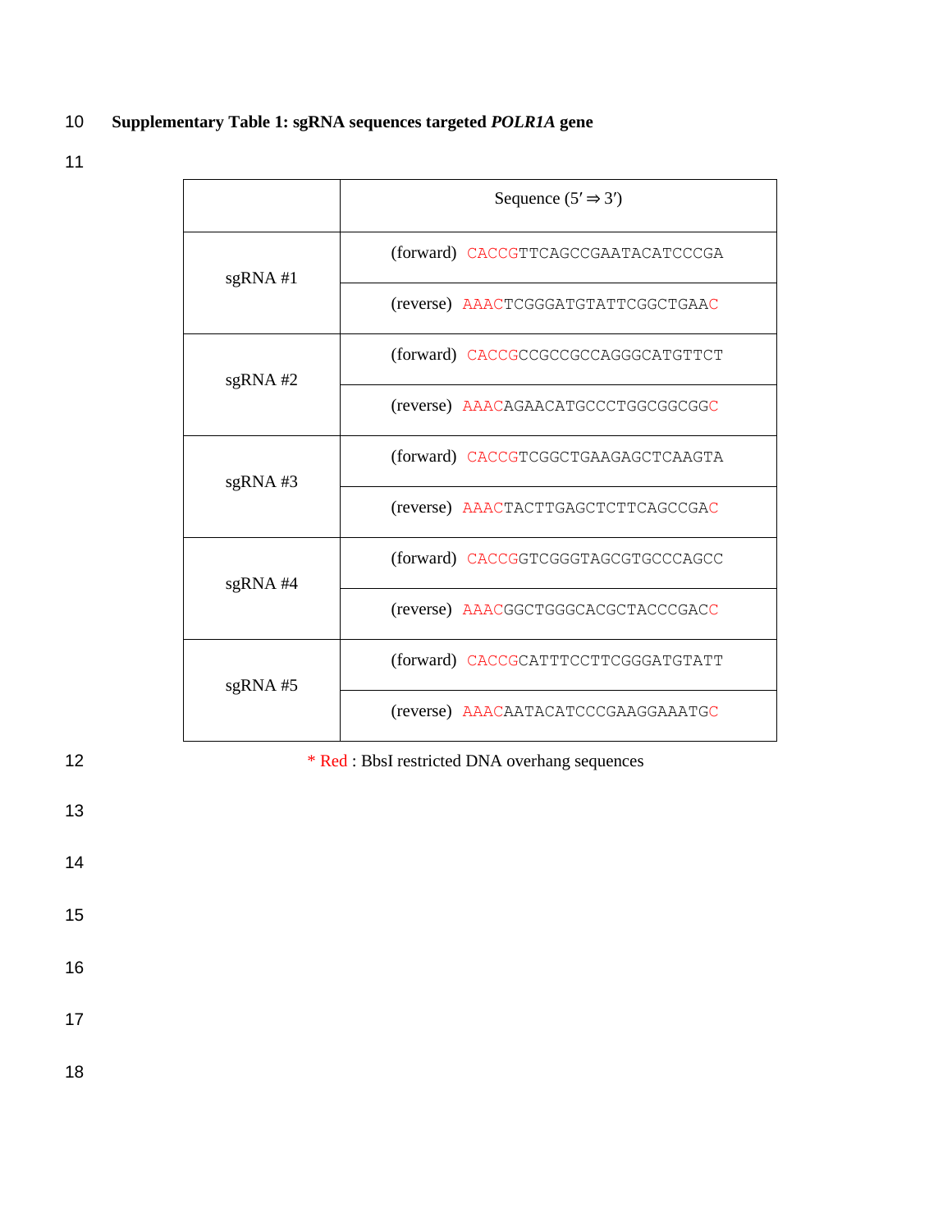## 10 **Supplementary Table 1: sgRNA sequences targeted** *POLR1A* **gene**

11

|    |            | Sequence $(5' \Rightarrow 3')$                 |
|----|------------|------------------------------------------------|
|    | $sgRNA$ #1 | (forward) CACCGTTCAGCCGAATACATCCCGA            |
|    |            | (reverse) AAACTCGGGATGTATTCGGCTGAAC            |
|    | $sgRNA$ #2 | (forward) CACCGCCGCCGCCAGGGCATGTTCT            |
|    |            | (reverse) AAACAGAACATGCCCTGGCGGCGC             |
|    | $sgRNA$ #3 | (forward) CACCGTCGGCTGAAGAGCTCAAGTA            |
|    |            | (reverse) AAACTACTTGAGCTCTTCAGCCGAC            |
|    | $sgRNA$ #4 | (forward) CACCGGTCGGGTAGCGTGCCCAGCC            |
|    |            | (reverse) AAACGGCTGGGCACGCTACCCGACC            |
|    | $sgRNA$ #5 | (forward) CACCGCATTTCCTTCGGGATGTATT            |
|    |            | (reverse) AAACAATACATCCCGAAGGAAATGC            |
| 12 |            | * Red : BbsI restricted DNA overhang sequences |

13

14

15

16

17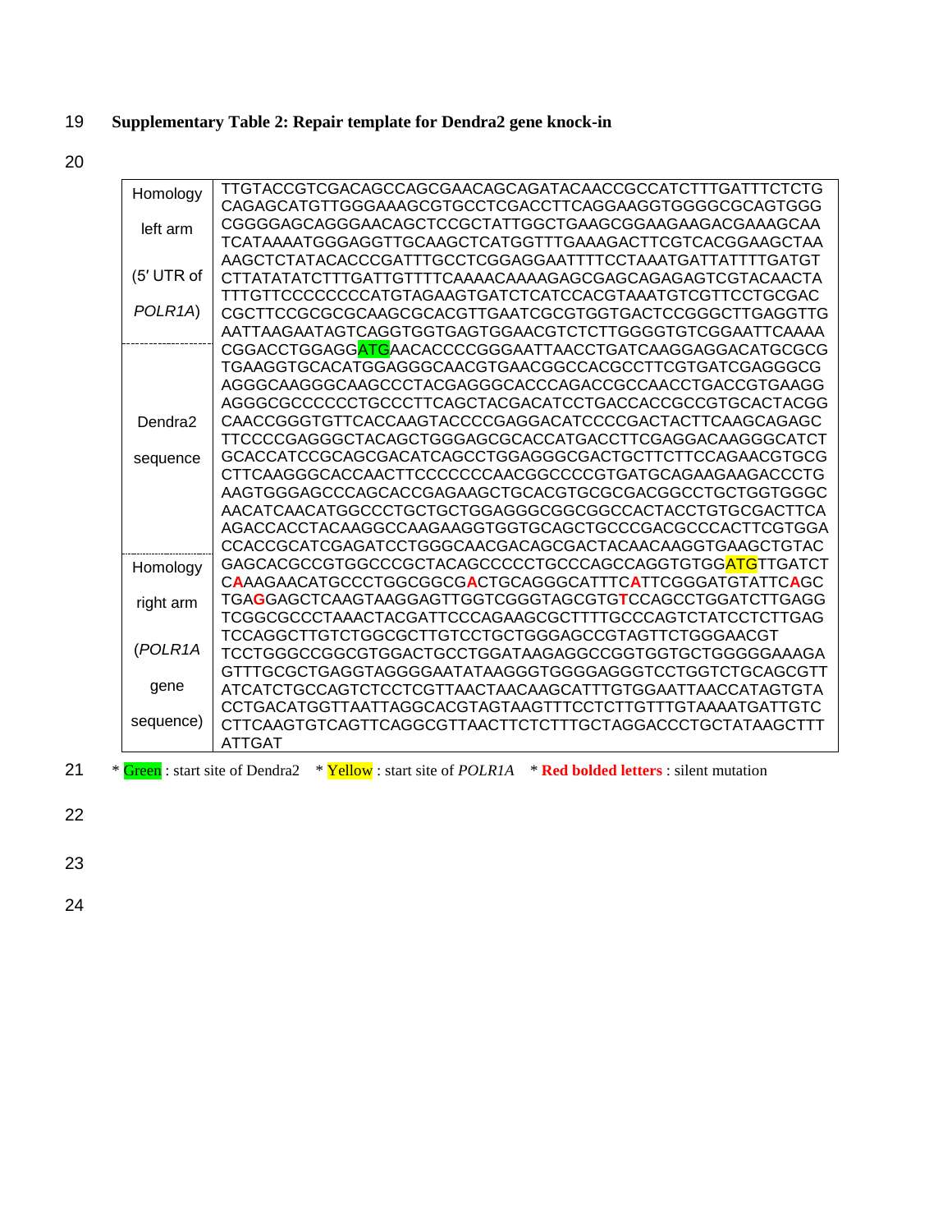## 19 **Supplementary Table 2: Repair template for Dendra2 gene knock-in**

20

|    | Homology             | TTGTACCGTCGACAGCCAGCGAACAGCAGATACAACCGCCATCTTTGATTTCTCTG                                             |
|----|----------------------|------------------------------------------------------------------------------------------------------|
|    |                      | CAGAGCATGTTGGGAAAGCGTGCCTCGACCTTCAGGAAGGTGGGCGCAGTGGG                                                |
|    | left arm             | CGGGGAGCAGGGAACAGCTCCGCTATTGGCTGAAGCGGAAGAAGACGAAAGCAA                                               |
|    |                      | TCATAAAATGGGAGGTTGCAAGCTCATGGTTTGAAAGACTTCGTCACGGAAGCTAA                                             |
|    |                      | AAGCTCTATACACCCGATTTGCCTCGGAGGAATTTTCCTAAATGATTATTTTGATGT                                            |
|    | (5' UTR of           |                                                                                                      |
|    |                      | TTTGTTCCCCCCCCATGTAGAAGTGATCTCATCCACGTAAATGTCGTTCCTGCGAC                                             |
|    | POLR <sub>1</sub> A) | CGCTTCCGCGCGCAAGCGCACGTTGAATCGCGTGGTGACTCCGGGCTTGAGGTTG                                              |
|    |                      | AATTAAGAATAGTCAGGTGGTGAGTGGAACGTCTCTTGGGGTGTCGGAATTCAAAA                                             |
|    |                      | CGGACCTGGAGGATGAACACCCCGGGAATTAACCTGATCAAGGAGGACATGCGCG                                              |
|    |                      | TGAAGGTGCACATGGAGGGCAACGTGAACGGCCACGCCTTCGTGATCGAGGGCG                                               |
|    |                      | AGGGCAAGGGCAAGCCCTACGAGGGCACCCAGACCGCCAACCTGACCGTGAAGG                                               |
|    |                      | AGGGCGCCCCCCTGCCCTTCAGCTACGACATCCTGACCACCGCCGTGCACTACGG                                              |
|    | Dendra <sub>2</sub>  | CAACCGGGTGTTCACCAAGTACCCCGAGGACATCCCCGACTACTTCAAGCAGAGC                                              |
|    |                      | TTCCCCGAGGGCTACAGCTGGGAGCGCACCATGACCTTCGAGGACAAGGGCATCT                                              |
|    | sequence             | GCACCATCCGCAGCGACATCAGCCTGGAGGGCGACTGCTTCTTCCAGAACGTGCG                                              |
|    |                      | CTTCAAGGGCACCAACTTCCCCCCCAACGGCCCCGTGATGCAGAAGAAGACCCTG                                              |
|    |                      | AAGTGGGAGCCCAGCACCGAGAAGCTGCACGTGCGCGACGGCCTGCTGGTGGGC                                               |
|    |                      | AACATCAACATGGCCCTGCTGCTGGAGGGCGGCGCCACTACCTGTGCGACTTCA                                               |
|    |                      | AGACCACCTACAAGGCCAAGAAGGTGGTGCAGCTGCCCGACGCCCACTTCGTGGA                                              |
|    |                      | CCACCGCATCGAGATCCTGGGCAACGACAGCGACTACAACAAGGTGAAGCTGTAC                                              |
|    | Homology             | GAGCACGCCGTGGCCCGCTACAGCCCCCTGCCCAGCCAGGTGTGG <mark>ATG</mark> TTGATCT                               |
|    |                      | CAAAGAACATGCCCTGGCGGCGACTGCAGGGCATTTCATTCGGGATGTATTCAGC                                              |
|    | right arm            | TGAGGAGCTCAAGTAAGGAGTTGGTCGGGTAGCGTGTCCAGCCTGGATCTTGAGG                                              |
|    |                      | TCGGCGCCCTAAACTACGATTCCCAGAAGCGCTTTTGCCCAGTCTATCCTCTTGAG                                             |
|    | (POLR1A              | TCCAGGCTTGTCTGGCGCTTGTCCTGCTGGGAGCCGTAGTTCTGGGAACGT                                                  |
|    |                      | TCCTGGGCCGGCGTGGACTGCCTGGATAAGAGGCCGGTGGTGCTGGGGGAAAGA                                               |
|    |                      | GTTTGCGCTGAGGTAGGGGAATATAAGGGTGGGGAGGGTCCTGGTCTGCAGCGTT                                              |
|    | gene                 | ATCATCTGCCAGTCTCCTCGTTAACTAACAAGCATTTGTGGAATTAACCATAGTGTA                                            |
|    |                      |                                                                                                      |
|    | sequence)            | CTTCAAGTGTCAGTTCAGGCGTTAACTTCTCTTTGCTAGGACCCTGCTATAAGCTTT                                            |
|    |                      | <b>ATTGAT</b>                                                                                        |
| 21 |                      | * Green: start site of Dendra2 * Yellow: start site of POLRIA * Red bolded letters : silent mutation |
|    |                      |                                                                                                      |

22

23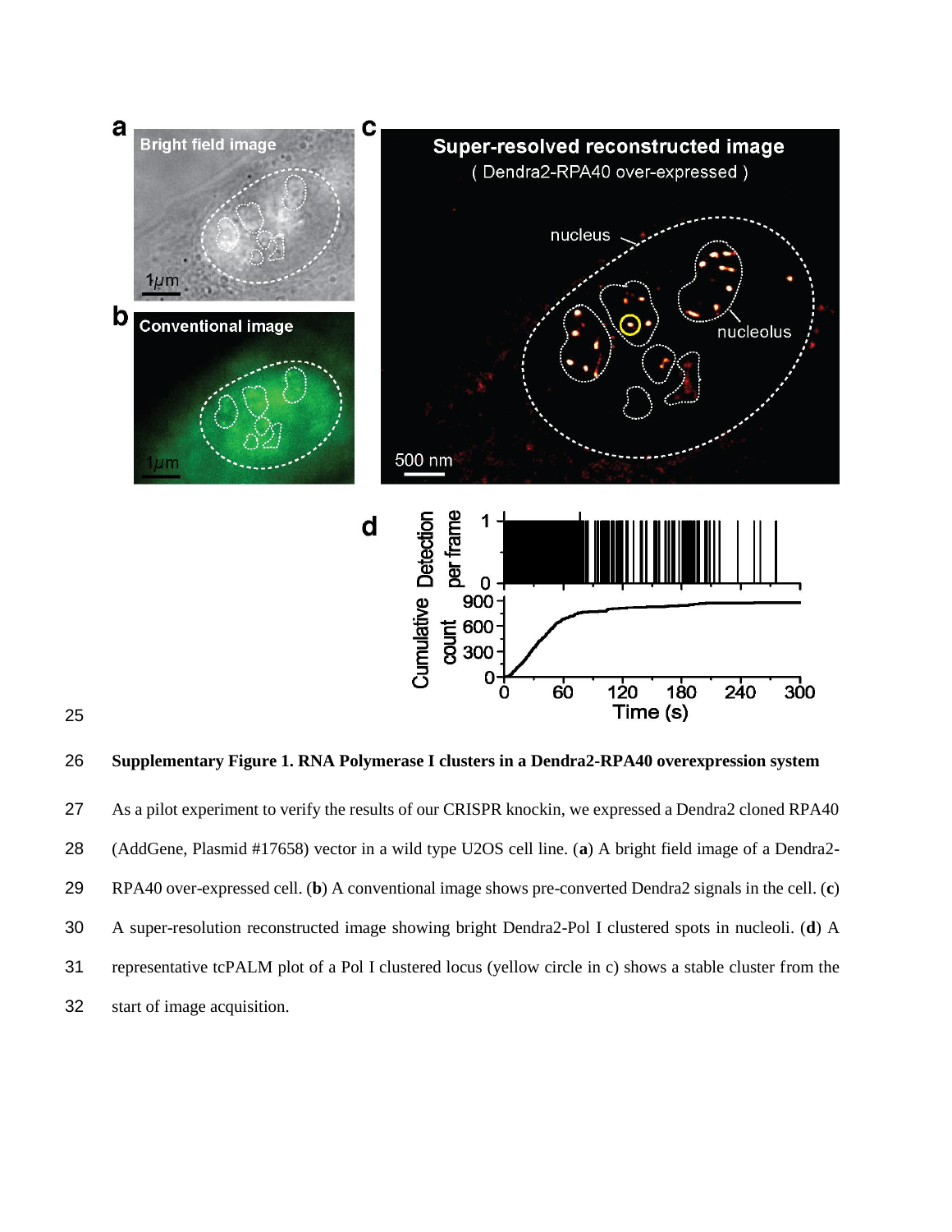



 As a pilot experiment to verify the results of our CRISPR knockin, we expressed a Dendra2 cloned RPA40 (AddGene, Plasmid #17658) vector in a wild type U2OS cell line. (**a**) A bright field image of a Dendra2- RPA40 over-expressed cell. (**b**) A conventional image shows pre-converted Dendra2 signals in the cell. (**c**) A super-resolution reconstructed image showing bright Dendra2-Pol I clustered spots in nucleoli. (**d**) A representative tcPALM plot of a Pol I clustered locus (yellow circle in c) shows a stable cluster from the start of image acquisition.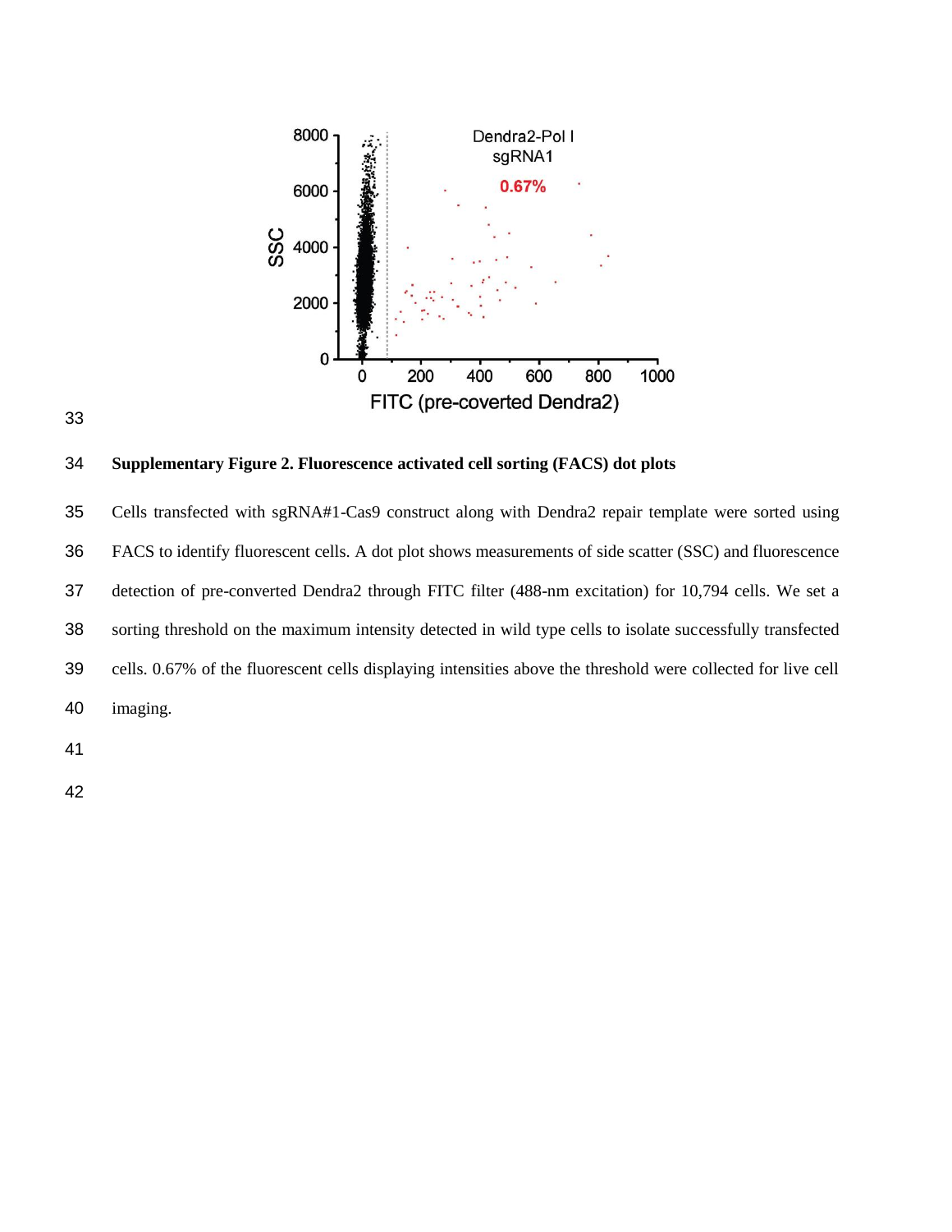



## **Supplementary Figure 2. Fluorescence activated cell sorting (FACS) dot plots**

 Cells transfected with sgRNA#1-Cas9 construct along with Dendra2 repair template were sorted using FACS to identify fluorescent cells. A dot plot shows measurements of side scatter (SSC) and fluorescence detection of pre-converted Dendra2 through FITC filter (488-nm excitation) for 10,794 cells. We set a sorting threshold on the maximum intensity detected in wild type cells to isolate successfully transfected cells. 0.67% of the fluorescent cells displaying intensities above the threshold were collected for live cell imaging.